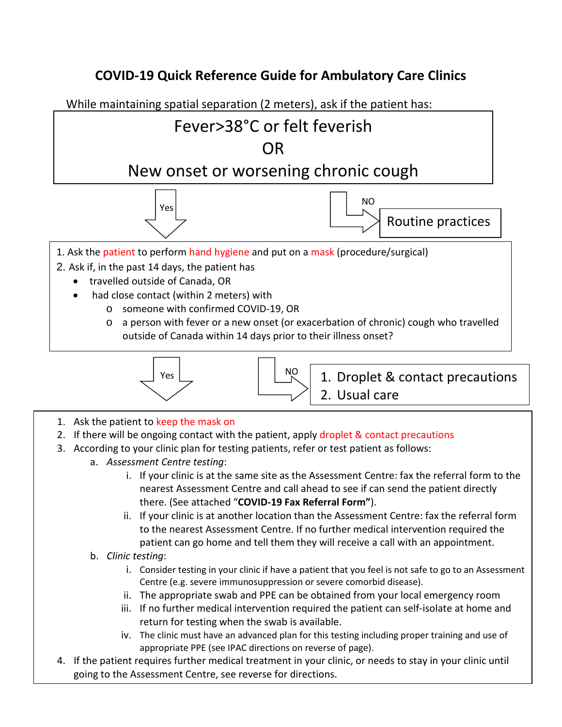## **COVID-19 Quick Reference Guide for Ambulatory Care Clinics**

While maintaining spatial separation (2 meters), ask if the patient has:

## Fever>38°C or felt feverish OR

## New onset or worsening chronic cough





- 1. Ask the patient to perform hand hygiene and put on a mask (procedure/surgical)
- 2. Ask if, in the past 14 days, the patient has
	- travelled outside of Canada, OR
	- had close contact (within 2 meters) with
		- o someone with confirmed COVID-19, OR
		- o a person with fever or a new onset (or exacerbation of chronic) cough who travelled outside of Canada within 14 days prior to their illness onset?





1. Droplet & contact precautions 2. Usual care

- 1. Ask the patient to keep the mask on
- 2. If there will be ongoing contact with the patient, apply droplet & contact precautions
- 3. According to your clinic plan for testing patients, refer or test patient as follows:
	- a. *Assessment Centre testing*:
		- i. If your clinic is at the same site as the Assessment Centre: fax the referral form to the nearest Assessment Centre and call ahead to see if can send the patient directly there. (See attached "**COVID-19 Fax Referral Form"**).
		- ii. If your clinic is at another location than the Assessment Centre: fax the referral form to the nearest Assessment Centre. If no further medical intervention required the patient can go home and tell them they will receive a call with an appointment.
	- b. *Clinic testing*:
		- i. Consider testing in your clinic if have a patient that you feel is not safe to go to an Assessment Centre (e.g. severe immunosuppression or severe comorbid disease).
		- ii. The appropriate swab and PPE can be obtained from your local emergency room
		- iii. If no further medical intervention required the patient can self-isolate at home and return for testing when the swab is available.
		- iv. The clinic must have an advanced plan for this testing including proper training and use of appropriate PPE (see IPAC directions on reverse of page).
- 4. If the patient requires further medical treatment in your clinic, or needs to stay in your clinic until going to the Assessment Centre, see reverse for directions.